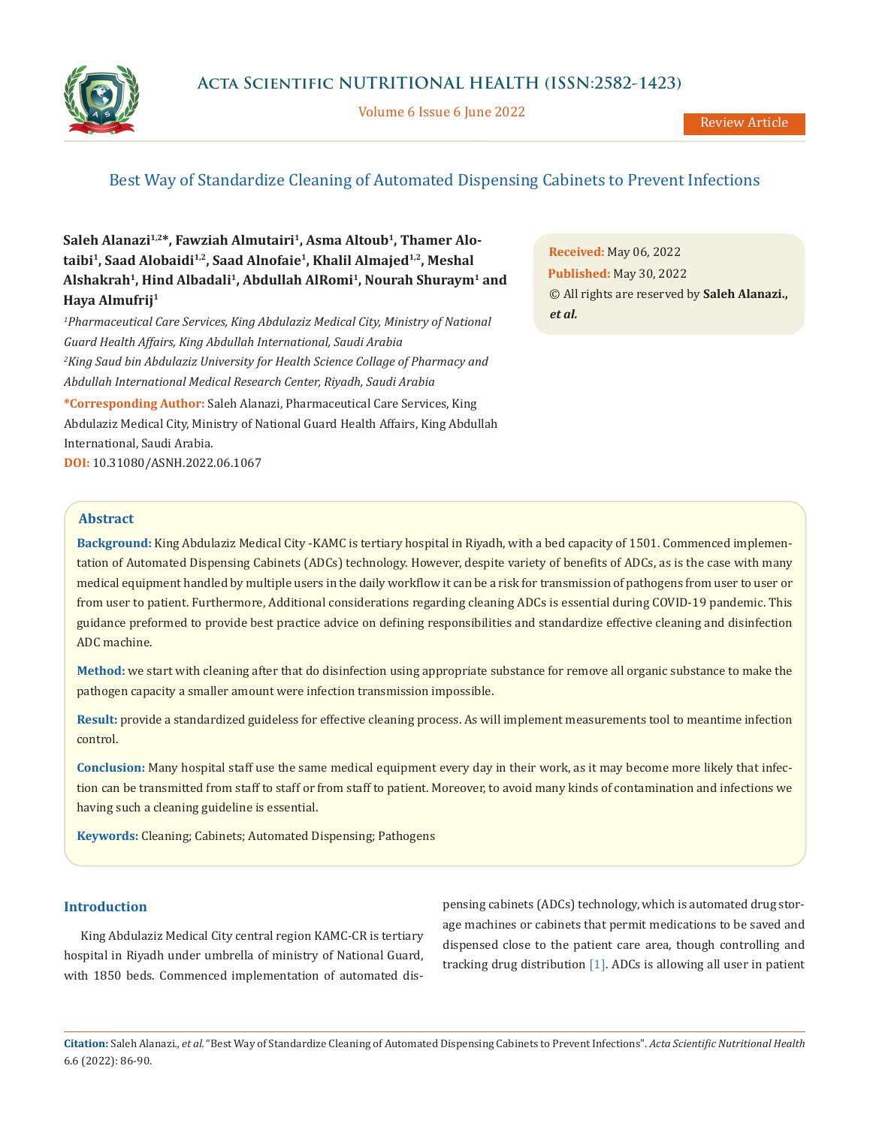

Volume 6 Issue 6 June 2022

# Best Way of Standardize Cleaning of Automated Dispensing Cabinets to Prevent Infections

Saleh Alanazi<sup>1,2\*</sup>, Fawziah Almutairi<sup>1</sup>, Asma Altoub<sup>1</sup>, Thamer Alotaibi<sup>1</sup>, Saad Alobaidi<sup>1,2</sup>, Saad Alnofaie<sup>1</sup>, Khalil Almajed<sup>1,2</sup>, Meshal **Alshakrah1, Hind Albadali1, Abdullah AlRomi1, Nourah Shuraym1 and Haya Almufrij1**

<sup>1</sup> Pharmaceutical Care Services, King Abdulaziz Medical City, Ministry of National *Guard Health Affairs, King Abdullah International, Saudi Arabia 2 King Saud bin Abdulaziz University for Health Science Collage of Pharmacy and Abdullah International Medical Research Center, Riyadh, Saudi Arabia*

**\*Corresponding Author:** Saleh Alanazi, Pharmaceutical Care Services, King Abdulaziz Medical City, Ministry of National Guard Health Affairs, King Abdullah International, Saudi Arabia. **DOI:** [10.31080/ASNH.2022.06.1067](https://actascientific.com/ASNH/pdf/ASNH-06-1067.pdf)

**Received:** May 06, 2022 **Published:** May 30, 2022 © All rights are reserved by **Saleh Alanazi.,**  *et al.*

# **Abstract**

**Background:** King Abdulaziz Medical City -KAMC is tertiary hospital in Riyadh, with a bed capacity of 1501. Commenced implementation of Automated Dispensing Cabinets (ADCs) technology. However, despite variety of benefits of ADCs, as is the case with many medical equipment handled by multiple users in the daily workflow it can be a risk for transmission of pathogens from user to user or from user to patient. Furthermore, Additional considerations regarding cleaning ADCs is essential during COVID-19 pandemic. This guidance preformed to provide best practice advice on defining responsibilities and standardize effective cleaning and disinfection ADC machine.

**Method:** we start with cleaning after that do disinfection using appropriate substance for remove all organic substance to make the pathogen capacity a smaller amount were infection transmission impossible.

**Result:** provide a standardized guideless for effective cleaning process. As will implement measurements tool to meantime infection control.

**Conclusion:** Many hospital staff use the same medical equipment every day in their work, as it may become more likely that infection can be transmitted from staff to staff or from staff to patient. Moreover, to avoid many kinds of contamination and infections we having such a cleaning guideline is essential.

**Keywords:** Cleaning; Cabinets; Automated Dispensing; Pathogens

# **Introduction**

King Abdulaziz Medical City central region KAMC-CR is tertiary hospital in Riyadh under umbrella of ministry of National Guard, with 1850 beds. Commenced implementation of automated dispensing cabinets (ADCs) technology, which is automated drug storage machines or cabinets that permit medications to be saved and dispensed close to the patient care area, though controlling and tracking drug distribution [1]. ADCs is allowing all user in patient

**Citation:** Saleh Alanazi*., et al.* "Best Way of Standardize Cleaning of Automated Dispensing Cabinets to Prevent Infections". *Acta Scientific Nutritional Health*  6.6 (2022): 86-90.

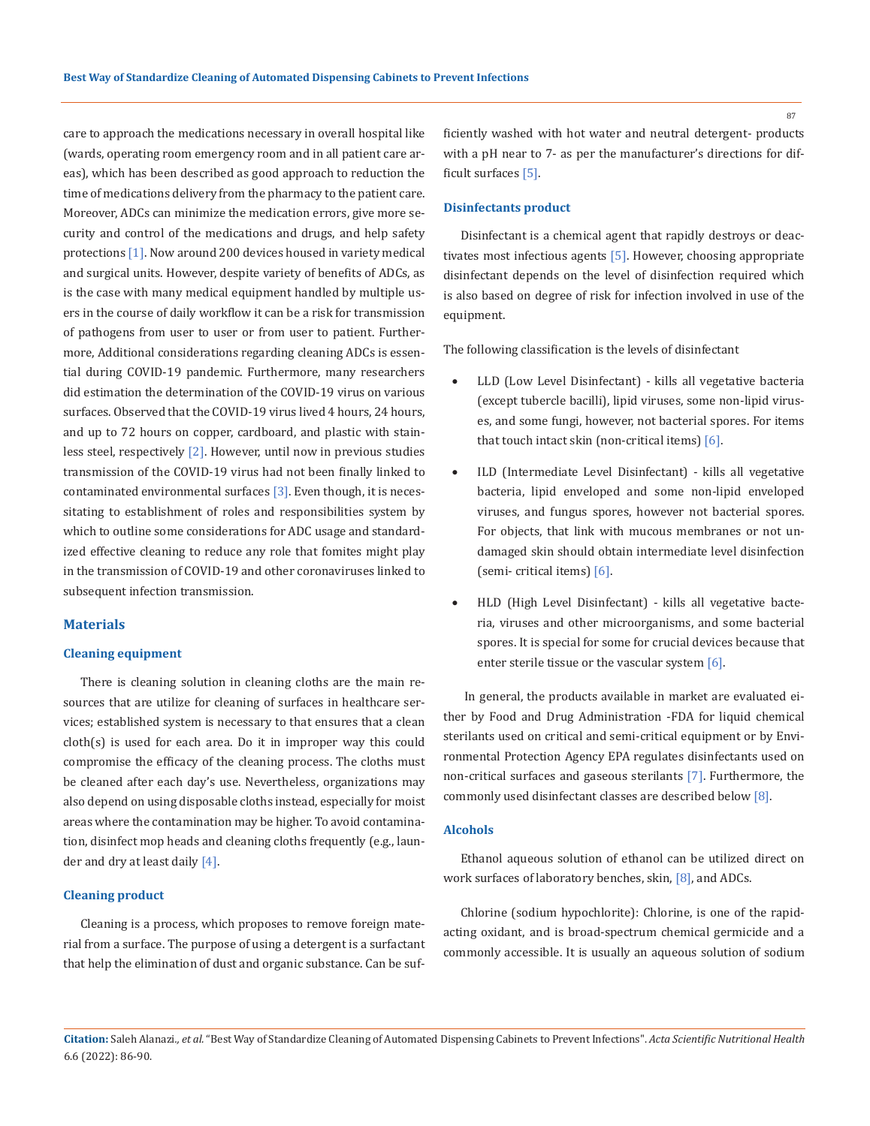care to approach the medications necessary in overall hospital like (wards, operating room emergency room and in all patient care areas), which has been described as good approach to reduction the time of medications delivery from the pharmacy to the patient care. Moreover, ADCs can minimize the medication errors, give more security and control of the medications and drugs, and help safety protections [1]. Now around 200 devices housed in variety medical and surgical units. However, despite variety of benefits of ADCs, as is the case with many medical equipment handled by multiple users in the course of daily workflow it can be a risk for transmission of pathogens from user to user or from user to patient. Furthermore, Additional considerations regarding cleaning ADCs is essential during COVID-19 pandemic. Furthermore, many researchers did estimation the determination of the COVID-19 virus on various surfaces. Observed that the COVID-19 virus lived 4 hours, 24 hours, and up to 72 hours on copper, cardboard, and plastic with stainless steel, respectively [2]. However, until now in previous studies transmission of the COVID-19 virus had not been finally linked to contaminated environmental surfaces  $[3]$ . Even though, it is necessitating to establishment of roles and responsibilities system by which to outline some considerations for ADC usage and standardized effective cleaning to reduce any role that fomites might play in the transmission of COVID-19 and other coronaviruses linked to subsequent infection transmission.

# **Materials**

### **Cleaning equipment**

There is cleaning solution in cleaning cloths are the main resources that are utilize for cleaning of surfaces in healthcare services; established system is necessary to that ensures that a clean cloth(s) is used for each area. Do it in improper way this could compromise the efficacy of the cleaning process. The cloths must be cleaned after each day's use. Nevertheless, organizations may also depend on using disposable cloths instead, especially for moist areas where the contamination may be higher. To avoid contamination, disinfect mop heads and cleaning cloths frequently (e.g., launder and dry at least daily [4].

### **Cleaning product**

Cleaning is a process, which proposes to remove foreign material from a surface. The purpose of using a detergent is a surfactant that help the elimination of dust and organic substance. Can be sufficiently washed with hot water and neutral detergent- products with a pH near to 7- as per the manufacturer's directions for difficult surfaces [5].

#### **Disinfectants product**

Disinfectant is a chemical agent that rapidly destroys or deactivates most infectious agents [5]. However, choosing appropriate disinfectant depends on the level of disinfection required which is also based on degree of risk for infection involved in use of the equipment.

The following classification is the levels of disinfectant

- LLD (Low Level Disinfectant) kills all vegetative bacteria (except tubercle bacilli), lipid viruses, some non-lipid viruses, and some fungi, however, not bacterial spores. For items that touch intact skin (non-critical items) [6].
- ILD (Intermediate Level Disinfectant) kills all vegetative bacteria, lipid enveloped and some non-lipid enveloped viruses, and fungus spores, however not bacterial spores. For objects, that link with mucous membranes or not undamaged skin should obtain intermediate level disinfection (semi- critical items) [6].
- HLD (High Level Disinfectant) kills all vegetative bacteria, viruses and other microorganisms, and some bacterial spores. It is special for some for crucial devices because that enter sterile tissue or the vascular system [6].

 In general, the products available in market are evaluated either by Food and Drug Administration -FDA for liquid chemical sterilants used on critical and semi-critical equipment or by Environmental Protection Agency EPA regulates disinfectants used on non-critical surfaces and gaseous sterilants [7]. Furthermore, the commonly used disinfectant classes are described below [8].

### **Alcohols**

Ethanol aqueous solution of ethanol can be utilized direct on work surfaces of laboratory benches, skin, [8], and ADCs.

Chlorine (sodium hypochlorite): Chlorine, is one of the rapidacting oxidant, and is broad-spectrum chemical germicide and a commonly accessible. It is usually an aqueous solution of sodium

87

**Citation:** Saleh Alanazi*., et al.* "Best Way of Standardize Cleaning of Automated Dispensing Cabinets to Prevent Infections". *Acta Scientific Nutritional Health*  6.6 (2022): 86-90.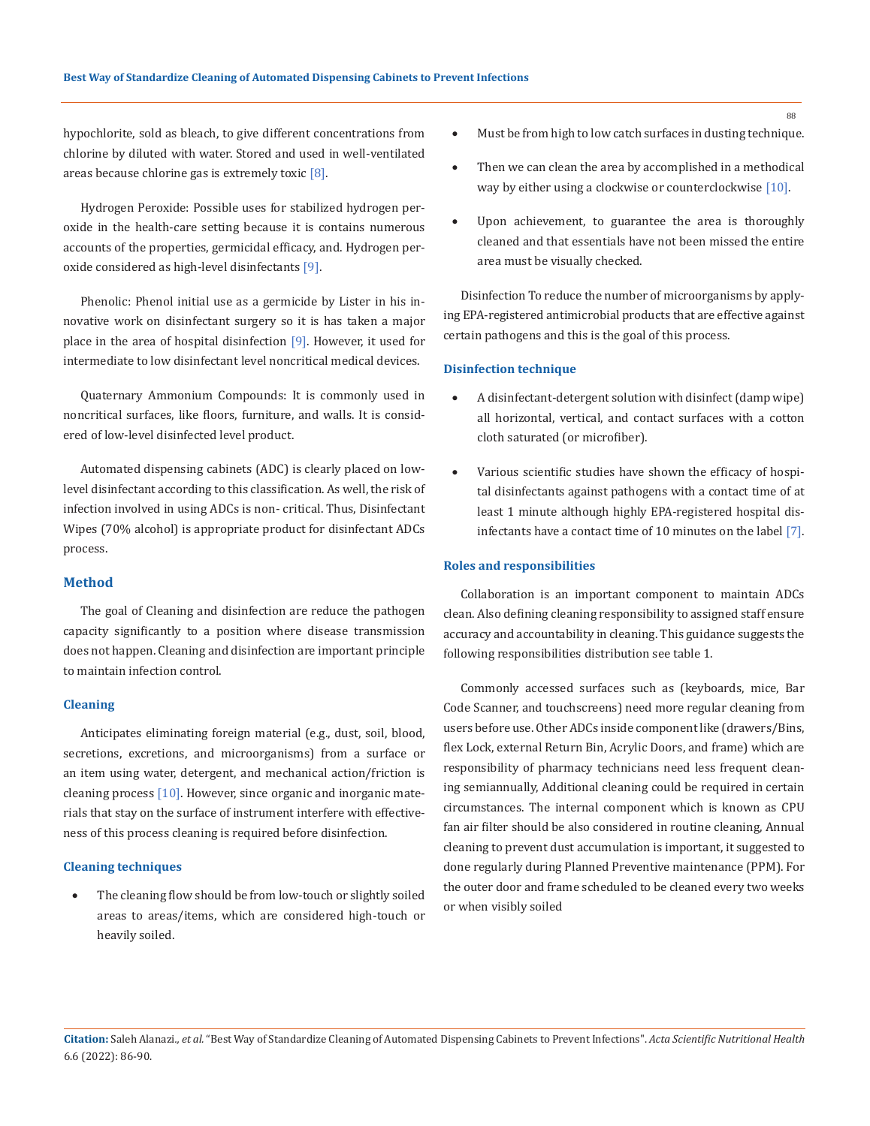hypochlorite, sold as bleach, to give different concentrations from chlorine by diluted with water. Stored and used in well-ventilated areas because chlorine gas is extremely toxic  $[8]$ .

Hydrogen Peroxide: Possible uses for stabilized hydrogen peroxide in the health-care setting because it is contains numerous accounts of the properties, germicidal efficacy, and. Hydrogen peroxide considered as high-level disinfectants [9].

Phenolic: Phenol initial use as a germicide by Lister in his innovative work on disinfectant surgery so it is has taken a major place in the area of hospital disinfection [9]. However, it used for intermediate to low disinfectant level noncritical medical devices.

Quaternary Ammonium Compounds: It is commonly used in noncritical surfaces, like floors, furniture, and walls. It is considered of low-level disinfected level product.

Automated dispensing cabinets (ADC) is clearly placed on lowlevel disinfectant according to this classification. As well, the risk of infection involved in using ADCs is non- critical. Thus, Disinfectant Wipes (70% alcohol) is appropriate product for disinfectant ADCs process.

### **Method**

The goal of Cleaning and disinfection are reduce the pathogen capacity significantly to a position where disease transmission does not happen. Cleaning and disinfection are important principle to maintain infection control.

#### **Cleaning**

Anticipates eliminating foreign material (e.g., dust, soil, blood, secretions, excretions, and microorganisms) from a surface or an item using water, detergent, and mechanical action/friction is cleaning process [10]. However, since organic and inorganic materials that stay on the surface of instrument interfere with effectiveness of this process cleaning is required before disinfection.

# **Cleaning techniques**

The cleaning flow should be from low-touch or slightly soiled areas to areas/items, which are considered high-touch or heavily soiled.

- Must be from high to low catch surfaces in dusting technique.
- Then we can clean the area by accomplished in a methodical way by either using a clockwise or counterclockwise [10].
- Upon achievement, to guarantee the area is thoroughly cleaned and that essentials have not been missed the entire area must be visually checked.

Disinfection To reduce the number of microorganisms by applying EPA-registered antimicrobial products that are effective against certain pathogens and this is the goal of this process.

#### **Disinfection technique**

- A disinfectant-detergent solution with disinfect (damp wipe) all horizontal, vertical, and contact surfaces with a cotton cloth saturated (or microfiber).
- Various scientific studies have shown the efficacy of hospital disinfectants against pathogens with a contact time of at least 1 minute although highly EPA-registered hospital disinfectants have a contact time of 10 minutes on the label [7].

#### **Roles and responsibilities**

Collaboration is an important component to maintain ADCs clean. Also defining cleaning responsibility to assigned staff ensure accuracy and accountability in cleaning. This guidance suggests the following responsibilities distribution see table 1.

Commonly accessed surfaces such as (keyboards, mice, Bar Code Scanner, and touchscreens) need more regular cleaning from users before use. Other ADCs inside component like (drawers/Bins, flex Lock, external Return Bin, Acrylic Doors, and frame) which are responsibility of pharmacy technicians need less frequent cleaning semiannually, Additional cleaning could be required in certain circumstances. The internal component which is known as CPU fan air filter should be also considered in routine cleaning, Annual cleaning to prevent dust accumulation is important, it suggested to done regularly during Planned Preventive maintenance (PPM). For the outer door and frame scheduled to be cleaned every two weeks or when visibly soiled

**Citation:** Saleh Alanazi*., et al.* "Best Way of Standardize Cleaning of Automated Dispensing Cabinets to Prevent Infections". *Acta Scientific Nutritional Health*  6.6 (2022): 86-90.

88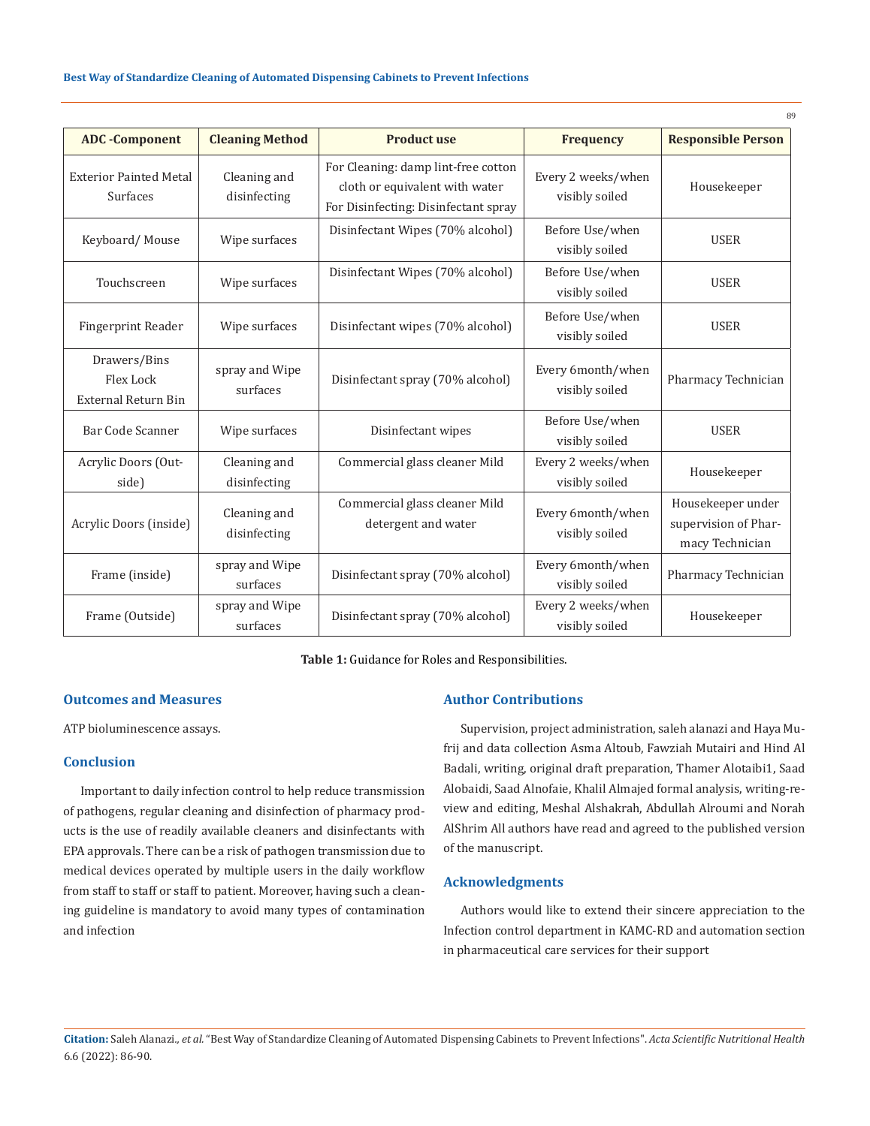|                                                         |                              |                                                                                                               |                                      | 89                                                           |
|---------------------------------------------------------|------------------------------|---------------------------------------------------------------------------------------------------------------|--------------------------------------|--------------------------------------------------------------|
| <b>ADC</b> -Component                                   | <b>Cleaning Method</b>       | <b>Product use</b>                                                                                            | <b>Frequency</b>                     | <b>Responsible Person</b>                                    |
| <b>Exterior Painted Metal</b><br>Surfaces               | Cleaning and<br>disinfecting | For Cleaning: damp lint-free cotton<br>cloth or equivalent with water<br>For Disinfecting: Disinfectant spray | Every 2 weeks/when<br>visibly soiled | Housekeeper                                                  |
| Keyboard/Mouse                                          | Wipe surfaces                | Disinfectant Wipes (70% alcohol)                                                                              | Before Use/when<br>visibly soiled    | <b>USER</b>                                                  |
| Touchscreen                                             | Wipe surfaces                | Disinfectant Wipes (70% alcohol)                                                                              | Before Use/when<br>visibly soiled    | <b>USER</b>                                                  |
| <b>Fingerprint Reader</b>                               | Wipe surfaces                | Disinfectant wipes (70% alcohol)                                                                              | Before Use/when<br>visibly soiled    | <b>USER</b>                                                  |
| Drawers/Bins<br>Flex Lock<br><b>External Return Bin</b> | spray and Wipe<br>surfaces   | Disinfectant spray (70% alcohol)                                                                              | Every 6month/when<br>visibly soiled  | Pharmacy Technician                                          |
| Bar Code Scanner                                        | Wipe surfaces                | Disinfectant wipes                                                                                            | Before Use/when<br>visibly soiled    | <b>USER</b>                                                  |
| Acrylic Doors (Out-<br>side)                            | Cleaning and<br>disinfecting | Commercial glass cleaner Mild                                                                                 | Every 2 weeks/when<br>visibly soiled | Housekeeper                                                  |
| Acrylic Doors (inside)                                  | Cleaning and<br>disinfecting | Commercial glass cleaner Mild<br>detergent and water                                                          | Every 6month/when<br>visibly soiled  | Housekeeper under<br>supervision of Phar-<br>macy Technician |
| Frame (inside)                                          | spray and Wipe<br>surfaces   | Disinfectant spray (70% alcohol)                                                                              | Every 6month/when<br>visibly soiled  | Pharmacy Technician                                          |
| Frame (Outside)                                         | spray and Wipe<br>surfaces   | Disinfectant spray (70% alcohol)                                                                              | Every 2 weeks/when<br>visibly soiled | Housekeeper                                                  |

**Table 1:** Guidance for Roles and Responsibilities.

# **Outcomes and Measures**

ATP bioluminescence assays.

### **Conclusion**

Important to daily infection control to help reduce transmission of pathogens, regular cleaning and disinfection of pharmacy products is the use of readily available cleaners and disinfectants with EPA approvals. There can be a risk of pathogen transmission due to medical devices operated by multiple users in the daily workflow from staff to staff or staff to patient. Moreover, having such a cleaning guideline is mandatory to avoid many types of contamination and infection

# **Author Contributions**

Supervision, project administration, saleh alanazi and Haya Mufrij and data collection Asma Altoub, Fawziah Mutairi and Hind Al Badali, writing, original draft preparation, Thamer Alotaibi1, Saad Alobaidi, Saad Alnofaie, Khalil Almajed formal analysis, writing-review and editing, Meshal Alshakrah, Abdullah Alroumi and Norah AlShrim All authors have read and agreed to the published version of the manuscript.

# **Acknowledgments**

Authors would like to extend their sincere appreciation to the Infection control department in KAMC-RD and automation section in pharmaceutical care services for their support

**Citation:** Saleh Alanazi*., et al.* "Best Way of Standardize Cleaning of Automated Dispensing Cabinets to Prevent Infections". *Acta Scientific Nutritional Health*  6.6 (2022): 86-90.